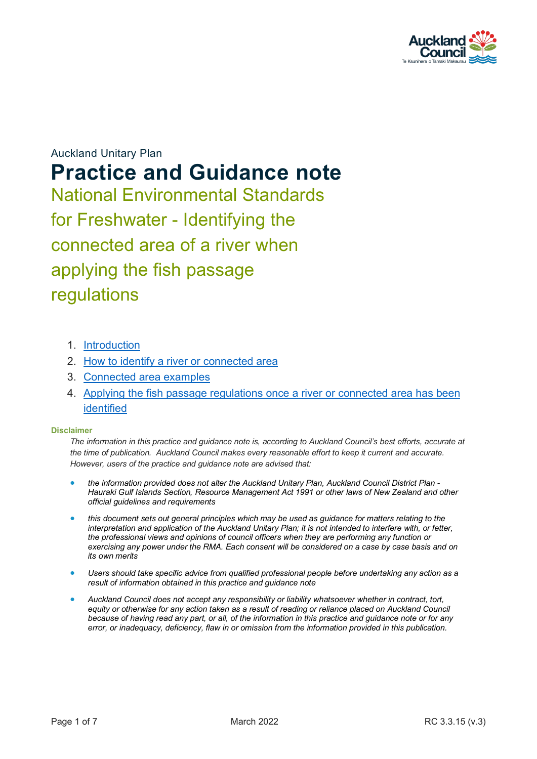

Auckland Unitary Plan **Practice and Guidance note** National Environmental Standards for Freshwater - Identifying the connected area of a river when applying the fish passage regulations

- 1. [Introduction](#page-1-0)
- 2. [How to identify a river or connected area](#page-1-1)
- 3. [Connected area examples](#page-4-0)
- 4. [Applying the fish passage regulations once a river or connected area has been](#page-6-0) [identified](#page-6-0)

#### **Disclaimer**

*The information in this practice and guidance note is, according to Auckland Council's best efforts, accurate at the time of publication. Auckland Council makes every reasonable effort to keep it current and accurate. However, users of the practice and guidance note are advised that:* 

- *the information provided does not alter the Auckland Unitary Plan, Auckland Council District Plan - Hauraki Gulf Islands Section, Resource Management Act 1991 or other laws of New Zealand and other official guidelines and requirements*
- *this document sets out general principles which may be used as guidance for matters relating to the interpretation and application of the Auckland Unitary Plan; it is not intended to interfere with, or fetter, the professional views and opinions of council officers when they are performing any function or exercising any power under the RMA. Each consent will be considered on a case by case basis and on its own merits*
- *Users should take specific advice from qualified professional people before undertaking any action as a result of information obtained in this practice and guidance note*
- *Auckland Council does not accept any responsibility or liability whatsoever whether in contract, tort, equity or otherwise for any action taken as a result of reading or reliance placed on Auckland Council because of having read any part, or all, of the information in this practice and guidance note or for any error, or inadequacy, deficiency, flaw in or omission from the information provided in this publication.*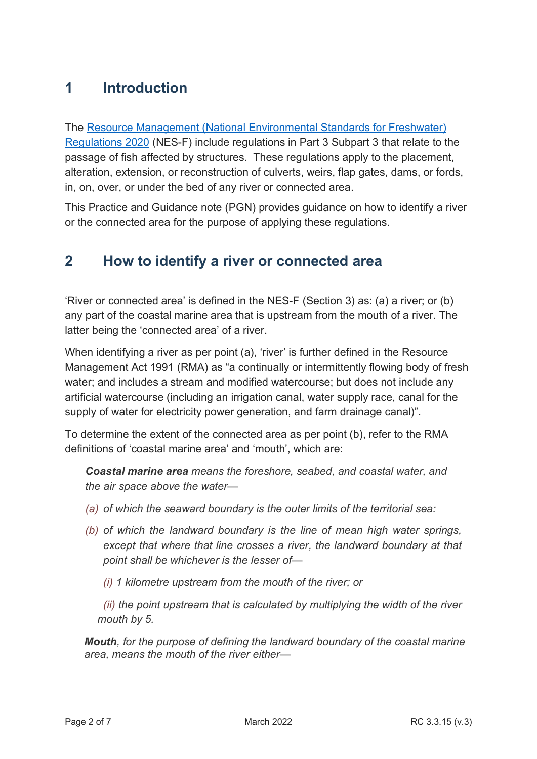# <span id="page-1-0"></span>**1 Introduction**

The [Resource Management \(National Environmental Standards for Freshwater\)](https://www.legislation.govt.nz/regulation/public/2020/0174/latest/LMS364099.html)  [Regulations 2020](https://www.legislation.govt.nz/regulation/public/2020/0174/latest/LMS364099.html) (NES-F) include regulations in Part 3 Subpart 3 that relate to the passage of fish affected by structures. These regulations apply to the placement, alteration, extension, or reconstruction of culverts, weirs, flap gates, dams, or fords, in, on, over, or under the bed of any river or connected area.

This Practice and Guidance note (PGN) provides guidance on how to identify a river or the connected area for the purpose of applying these regulations.

### <span id="page-1-1"></span>**2 How to identify a river or connected area**

'River or connected area' is defined in the NES-F (Section 3) as: (a) a river; or (b) any part of the coastal marine area that is upstream from the mouth of a river. The latter being the 'connected area' of a river.

When identifying a river as per point (a), 'river' is further defined in the Resource Management Act 1991 (RMA) as "a continually or intermittently flowing body of fresh water; and includes a stream and modified watercourse; but does not include any artificial watercourse (including an irrigation canal, water supply race, canal for the supply of water for electricity power generation, and farm drainage canal)".

To determine the extent of the connected area as per point (b), refer to the RMA definitions of 'coastal marine area' and 'mouth', which are:

*Coastal marine area means the foreshore, seabed, and coastal water, and the air space above the water—* 

- *(a) of which the seaward boundary is the outer limits of the territorial sea:*
- *(b) of which the landward boundary is the line of mean high water springs, except that where that line crosses a river, the landward boundary at that point shall be whichever is the lesser of—*
	- *(i) 1 kilometre upstream from the mouth of the river; or*

*(ii) the point upstream that is calculated by multiplying the width of the river mouth by 5.*

*Mouth, for the purpose of defining the landward boundary of the coastal marine area, means the mouth of the river either—*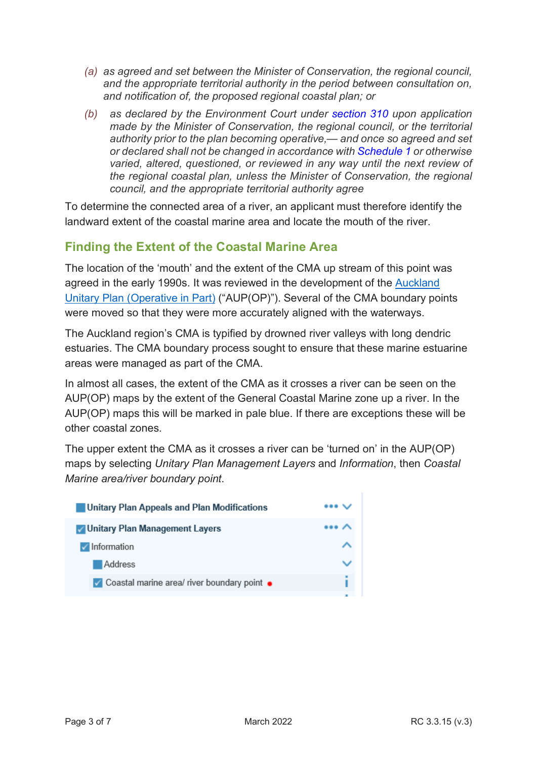- *(a) as agreed and set between the Minister of Conservation, the regional council, and the appropriate territorial authority in the period between consultation on, and notification of, the proposed regional coastal plan; or*
- *(b) as declared by the Environment Court under [section 310](https://www.legislation.govt.nz/act/public/1991/0069/latest/link.aspx?search=ts_act%40bill%40regulation%40deemedreg_Resource+management+act+1991_resel_25_h&p=1&id=DLM238510#DLM238510) upon application made by the Minister of Conservation, the regional council, or the territorial authority prior to the plan becoming operative,— and once so agreed and set or declared shall not be changed in accordance with [Schedule 1](https://www.legislation.govt.nz/act/public/1991/0069/latest/link.aspx?search=ts_act%40bill%40regulation%40deemedreg_Resource+management+act+1991_resel_25_h&p=1&id=DLM240686#DLM240686) or otherwise varied, altered, questioned, or reviewed in any way until the next review of the regional coastal plan, unless the Minister of Conservation, the regional council, and the appropriate territorial authority agree*

To determine the connected area of a river, an applicant must therefore identify the landward extent of the coastal marine area and locate the mouth of the river.

### **Finding the Extent of the Coastal Marine Area**

The location of the 'mouth' and the extent of the CMA up stream of this point was agreed in the early 1990s. It was reviewed in the development of the [Auckland](https://unitaryplan.aucklandcouncil.govt.nz/pages/plan/Book.aspx?exhibit=AucklandUnitaryPlan_Print)  [Unitary Plan \(Operative in Part\)](https://unitaryplan.aucklandcouncil.govt.nz/pages/plan/Book.aspx?exhibit=AucklandUnitaryPlan_Print) ("AUP(OP)"). Several of the CMA boundary points were moved so that they were more accurately aligned with the waterways.

The Auckland region's CMA is typified by drowned river valleys with long dendric estuaries. The CMA boundary process sought to ensure that these marine estuarine areas were managed as part of the CMA.

In almost all cases, the extent of the CMA as it crosses a river can be seen on the AUP(OP) maps by the extent of the General Coastal Marine zone up a river. In the AUP(OP) maps this will be marked in pale blue. If there are exceptions these will be other coastal zones.

The upper extent the CMA as it crosses a river can be 'turned on' in the AUP(OP) maps by selecting *Unitary Plan Management Layers* and *Information*, then *Coastal Marine area/river boundary point*.

| Unitary Plan Appeals and Plan Modifications   | $\cdots$ |
|-----------------------------------------------|----------|
| <b>V</b> Unitary Plan Management Layers       | $\cdots$ |
| $\sqrt{}$ Information                         |          |
| Address                                       |          |
| √ Coastal marine area/ river boundary point ● |          |
|                                               |          |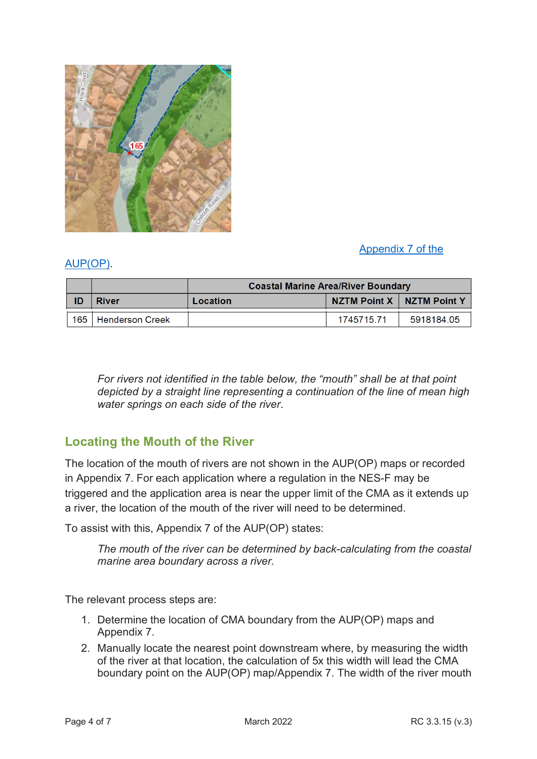

### [Appendix 7 of the](https://unitaryplan.aucklandcouncil.govt.nz/Images/Auckland%20Unitary%20Plan%20Operative/Chapter%20M%20Appendices/Appendix%207%20Coastal%20marine%20area%20boundaries.pdf)

#### [AUP\(OP\).](https://unitaryplan.aucklandcouncil.govt.nz/Images/Auckland%20Unitary%20Plan%20Operative/Chapter%20M%20Appendices/Appendix%207%20Coastal%20marine%20area%20boundaries.pdf)

|           |                        | <b>Coastal Marine Area/River Boundary</b> |                             |            |
|-----------|------------------------|-------------------------------------------|-----------------------------|------------|
| <b>ID</b> | <b>River</b>           | Location                                  | NZTM Point X   NZTM Point Y |            |
| 165       | <b>Henderson Creek</b> |                                           | 174571571                   | 5918184.05 |

*For rivers not identified in the table below, the "mouth" shall be at that point depicted by a straight line representing a continuation of the line of mean high water springs on each side of the river*.

### **Locating the Mouth of the River**

The location of the mouth of rivers are not shown in the AUP(OP) maps or recorded in Appendix 7. For each application where a regulation in the NES-F may be triggered and the application area is near the upper limit of the CMA as it extends up a river, the location of the mouth of the river will need to be determined.

To assist with this, Appendix 7 of the AUP(OP) states:

*The mouth of the river can be determined by back-calculating from the coastal marine area boundary across a river.*

The relevant process steps are:

- 1. Determine the location of CMA boundary from the AUP(OP) maps and Appendix 7.
- 2. Manually locate the nearest point downstream where, by measuring the width of the river at that location, the calculation of 5x this width will lead the CMA boundary point on the AUP(OP) map/Appendix 7. The width of the river mouth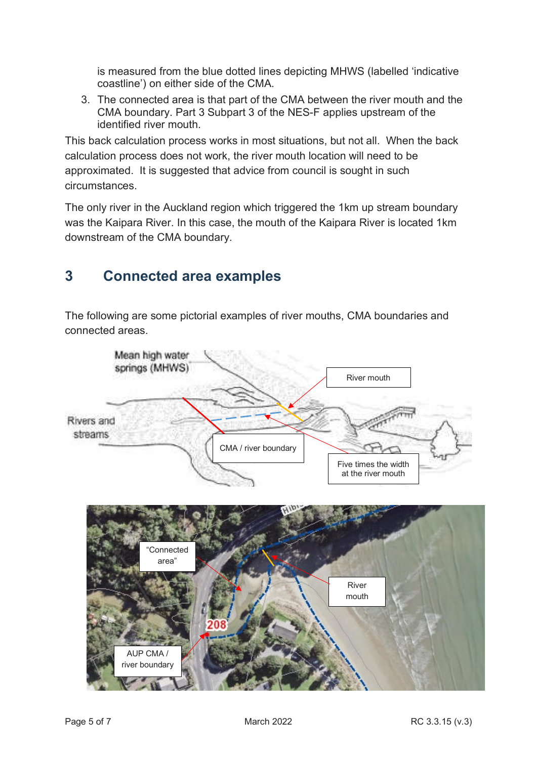is measured from the blue dotted lines depicting MHWS (labelled 'indicative coastline') on either side of the CMA.

3. The connected area is that part of the CMA between the river mouth and the CMA boundary. Part 3 Subpart 3 of the NES-F applies upstream of the identified river mouth.

This back calculation process works in most situations, but not all. When the back calculation process does not work, the river mouth location will need to be approximated. It is suggested that advice from council is sought in such circumstances.

The only river in the Auckland region which triggered the 1km up stream boundary was the Kaipara River. In this case, the mouth of the Kaipara River is located 1km downstream of the CMA boundary.

# <span id="page-4-0"></span>**3 Connected area examples**

The following are some pictorial examples of river mouths, CMA boundaries and connected areas.

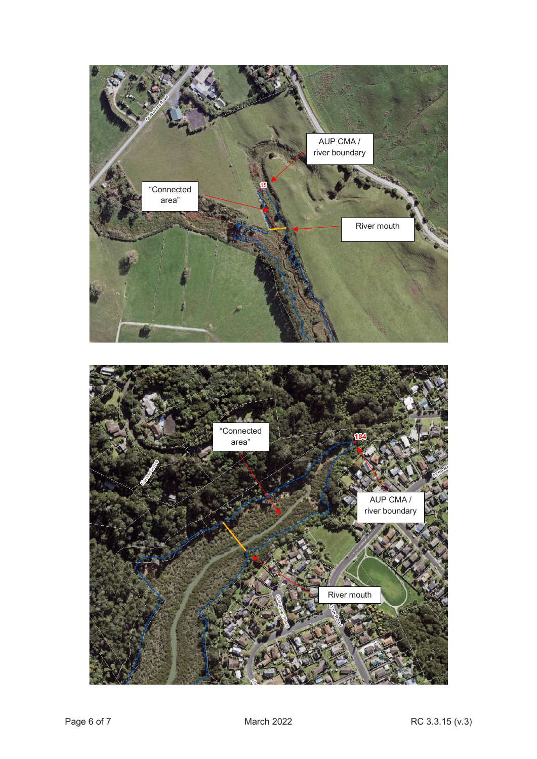